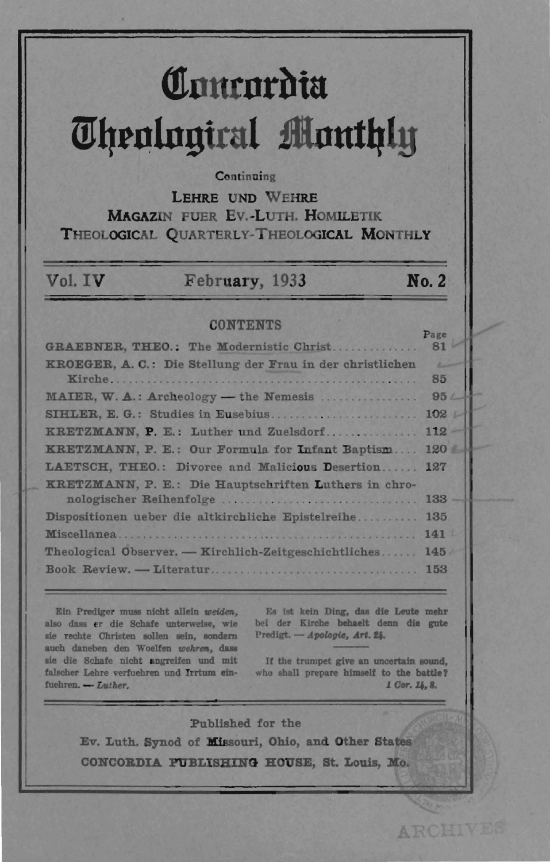# Comeordia **Theological Monthly**

#### Continuing

LEHRE UND WEHRE **MAGAZIN FUER EV.-LUTH, HOMILETIK** THEOLOGICAL QUARTERLY-THEOLOGICAL MONTHLY

## February, 1933

No. 2

#### **CONTENTS**

|                                                           | $ -$          |
|-----------------------------------------------------------|---------------|
| GRAEBNER, THEO.: The Modernistic Christ                   | 81            |
| KROEGER, A. C.: Die Stellung der Frau in der christlichen | <b>Lating</b> |
|                                                           | 85            |
| MAIER, W. A.: Archeology - the Nemesis                    | 95L           |
| SIHLER, E. G.: Studies in Eusebius                        | 102           |
| KRETZMANN, P. E.: Luther und Zuelsdorf                    | $112 -$       |
| KRETZMANN, P. E.: Our Formula for Infant Baptism          | 120           |
| LAETSCH, THEO.: Divorce and Malicious Desertion           | 127           |
| KRETZMANN, P. E.: Die Hauptschriften Luthers in chro-     |               |
|                                                           | $133 -$       |
| Dispositionen ueber die altkirchliche Epistelreihe        | 135           |
|                                                           | 1411          |
| Theological Observer. - Kirchlich-Zeitgeschichtliches     | 145           |
|                                                           | 153           |
|                                                           |               |

Ein Prediger muss nicht allein weiden, also dass er die Schafe unterweise, wie sie rechte Christen sollen sein, sondern auch daneben den Woelfen wehren, dass sie die Schafe nicht angreifen und mit falscher Lehre verfuehren und Irrtum einfuehren. - Luther.

Vol. IV

Es ist kein Ding, das die Leute mehr bei der Kirche behaelt denn die gute Predigt. - Apologie, Art. 24.

If the trumpet give an uncertain sound, who shall prepare himself to the battle? 1 Cor. 14, 8.

**ARCHIVES** 

Published for the Ev. Luth. Synod of Missouri, Ohio, and Other States CONCORDIA PUBLISHING HOUSE, St. Louis, Mo.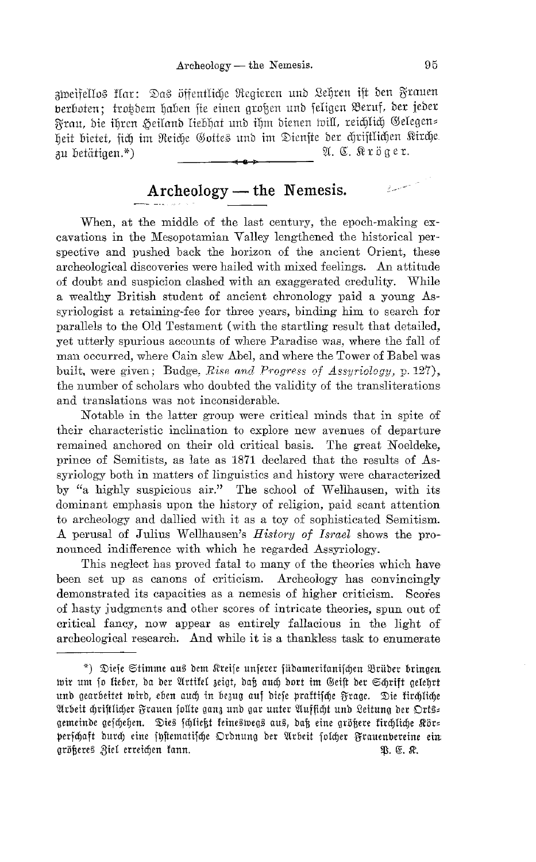zweifellos flar: Das öffentliche Regieren und Lehren ift den Frauen berboten; trotdem haben sie einen großen und seligen Beruf, der jeder Frau, die ihren Heiland liebhat und ihm dienen will, reichlich Gelegens heit bietet, sich im Reiche Gottes und im Dienste der chriftlichen Kirche. A. C. Kröger. zu betätigen.\*)

# Archeology - the Nemesis.

When, at the middle of the last century, the epoch-making excavations in the Mesopotamian Valley lengthened the historical perspective and pushed back the horizon of the ancient Orient, these archeological discoveries were hailed with mixed feelings. An attitude of doubt and suspicion clashed with an exaggerated credulity. While a wealthy British student of ancient chronology paid a young Assyriologist a retaining-fee for three years, binding him to search for parallels to the Old Testament (with the startling result that detailed, yet utterly spurious accounts of where Paradise was, where the fall of man occurred, where Cain slew Abel, and where the Tower of Babel was built, were given; Budge, Rise and Progress of Assyriology, p. 127), the number of scholars who doubted the validity of the transliterations and translations was not inconsiderable.

Notable in the latter group were critical minds that in spite of their characteristic inclination to explore new avenues of departure remained anchored on their old critical basis. The great Noeldeke, prince of Semitists, as late as 1871 declared that the results of Assyriology both in matters of linguistics and history were characterized by "a highly suspicious air." The school of Wellhausen, with its dominant emphasis upon the history of religion, paid scant attention to archeology and dallied with it as a toy of sophisticated Semitism. A perusal of Julius Wellhausen's *History of Israel* shows the pronounced indifference with which he regarded Assyriology.

This neglect has proved fatal to many of the theories which have been set up as canons of criticism. Archeology has convincingly demonstrated its capacities as a nemesis of higher criticism. Scores of hasty judgments and other scores of intricate theories, spun out of critical fancy, now appear as entirely fallacious in the light of archeological research. And while it is a thankless task to enumerate

a an an Aonaichte.<br>Tagairtí

<sup>\*)</sup> Diese Stimme aus dem Kreise unserer füdameritanischen Brüder bringen wir um so lieber, da der Artikel zeigt, daß auch dort im Geist der Schrift gelehrt und gearbeitet wird, eben auch in bezug auf diese praktische Frage. Die kirchliche Arbeit chriftlicher Frauen follte ganz und gar unter Aufficht und Leitung der Orts= gemeinde geschehen. Dies schlieht keineswegs aus, daß eine größere kirchliche Kör= perschaft durch eine systematische Ordnung der Arbeit solcher Frauenvereine ein größeres Ziel erreichen kann. Q. E. R.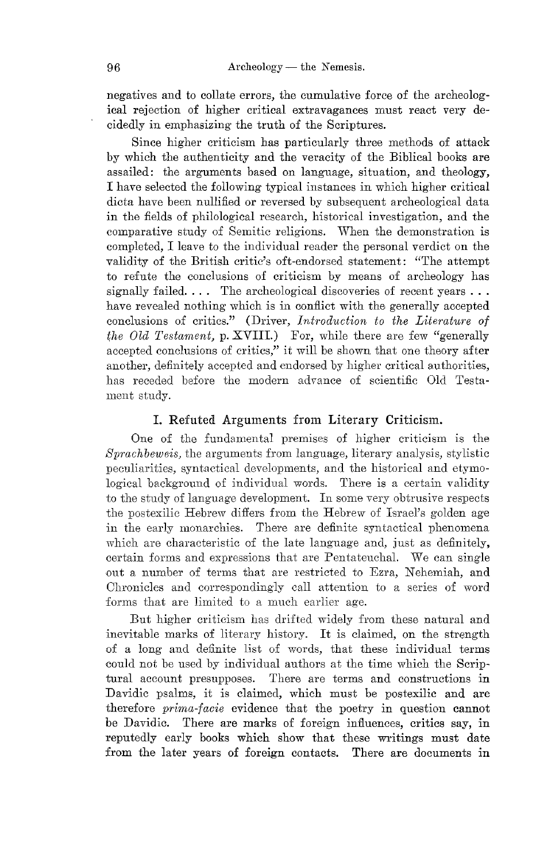negatives and to collate errors, the cumulative force of the archeological rejection of higher critical extravagances must react very decidedly in emphasizing the truth of the Scriptures.

Since higher criticism has particularly three methods of attack by which the authenticity and the veracity of the Biblical books are assailed: the arguments based on language, situation, and theology, I have selected the following typical instances in which higher critical dicta have been nullified or reversed by subsequent archeological data in the fields of philological research, historical investigation, and the comparative study of Semitic religions. When the demonstration is completed, I leave to the individual reader the personal verdict on the validity of the British critic's oft-endorsed statement: "The attempt to refute the conclusions of criticism by means of archeology has signally failed.  $\ldots$  The archeological discoveries of recent years  $\ldots$ have revealed nothing which is in conflict with the generally accepted conclusions of critics." (Driver, *Introduction to the Literature of the Old Testament, p. XVIII.*) For, while there are few "generally accepted conclusions of critics," it will be shown that one theory after another, definitely accepted and endorsed by higher critical authorities, has receded before the modern advance of scientific Old Testament study.

#### I. Refuted Arguments from Literary Criticism.

One of the fundamental premises of higher criticism is the *Sprachbeweis,* the arguments from language, literary analysis, stylistic peculiarities, syntactical developments, and the historical and etymological background of individual words. There is a certain validity to the study of language development. In some very obtrusive respects the postexilic Hebrew differs from the Hebrew of Israel's golden age in the early monarchies. There are definite syntactical phenomena which are characteristic of the late language and, just as definitely, certain forms and expressions that are Pentateuchal. We can single out a number of terms that are restricted to Ezra, Nehemiah, and Ohronicles and correspondingly call attention to a series of word forms that are limited to a much earlier age.

But higher criticism has drifted widely from these natural and inevitable marks of literary history. It is claimed, on the strength of a long and definite list of words, that these individual terms could not be used by individual authors at the time which the Scriptural account presupposes. There are terms and constructions in Davidic psalms, it is claimed, which must be postexilic and are therefore *prima-facie* evidence that the poetry in question cannot be Davidic. There are marks of foreign influences, critics say, in reputedly early books which show that these writings must date from the later years of foreign contacts. There are documents in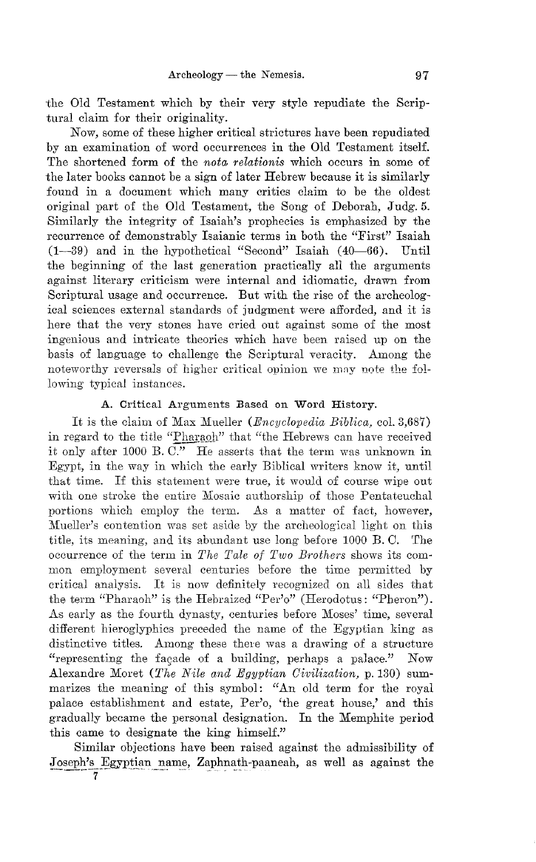the Old Testament which by their very style repudiate the Scriptural claim for their originality.

Now, some of these higher critical strictures have been repudiated by an examination of word occurrences in the Old Testament itself. The shortened form of the *nota relationis* which occurs in some of the later books cannot be a sign of later Hebrew because it is similarly found in a document which many critics claim to be the oldest original part of the Old Testament, the Song of Deborah, Judg.5. Similarly the integrity of Isaiah's prophecies is emphasized by the recurrence of demonstrably Isaianic terms in both the "First" Isaiah (1-39) and in the hypothetical "Second" Isaiah (40-66). Until the beginning of the last generation practically all the arguments against literary criticism were internal and idiomatic, drawn from Scriptural usage and occurrence. But with the rise of the archeological sciences external standards of judgment were afforded, and it is here that the very stones have cried out against some of the most ingenious and intricate theories which have been raised up on the basis of language to challenge the Scriptural veracity. Among the noteworthy reversals of higher critical opinion we may note the following typical instances,

#### A. Critical Arguments Based on Word History.

It is the claim of Max Mueller *(Encyclopedia Biblica, col.* 3,687) in regard to the title "Pharaoh" that "the Hebrews can have received it only after 1000 B.  $\overline{C}$ ." He asserts that the term was unknown in Egypt, in the way in which the early Biblical writers know it, until that time. If this statement were true, it would of course wipe out with one stroke the entire Mosaic authorship of those Pentateuchal portions which employ the term. As a matter of fact, however, Mueller's contention was set aside by the archeological light on this title, its meaning, and its abundant use long before 1000 B. C. The occurrence of the term in *The Tale of Two Brothers* shows its common employment several centuries before the time permitted by critical analysis. It is now definitely recognized on all sides that the term "Pharaoh" is the Hebraized "Per'o" (Herodotus: "Pheron"). As early as the fourth dynasty, centuries before Moses' time, several different hieroglyphics preceded the name of the Egyptian king as distinctive titles. Among these there was a drawing of a structure "representing the fagade of a building, perhaps a palace." Now Alexandre Moret *(The Nile and Egyptian Civilization,* p. 130) summarizes the meaning of this symbol: "An old term for the royal palace establishment and estate, Per'o, 'the great house,' and this gradually became the personal designation. In the Memphite period this came to designate the king himself."

Similar objections have been raised against the admissibility of Joseph's Egyptian name, Zaphnath-paaneah, as well as against the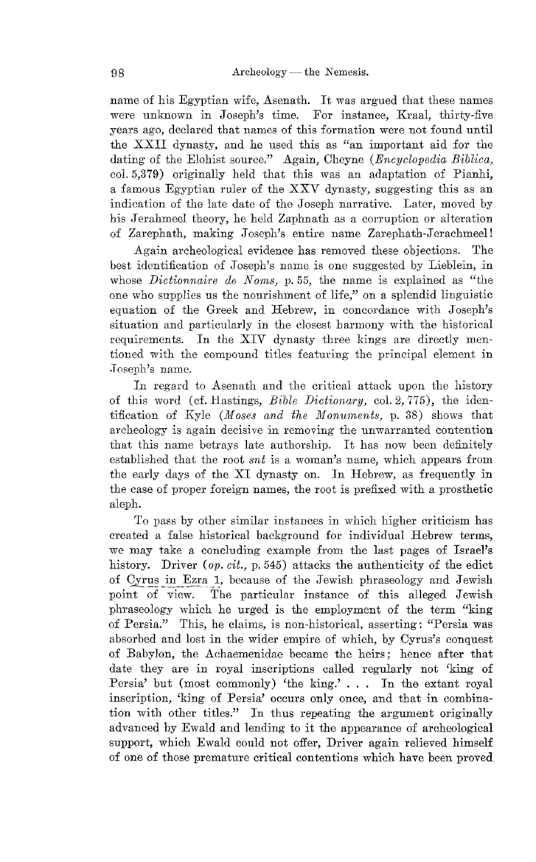name of his Egyptian wife, Asenath. It was argued that these names were unknown in Joseph's time. For instance, Kraal, thirty-five years ago, declared that names of this formation were not found until the XXII dynasty, and he used this as "an important aid for the dating of the Elohist source." Again, Cheyne *(Encyclopedia Biblica,* col.5,379) originally held that this was an adaptation of Pianhi, a famous Egyptian ruler of the XXV dynasty, suggesting this as an indication of the late date of the Joseph narrative. Later, moved by his Jerahmeel theory, he held Zaphnath as a corruption or alteration of Zarephath, making Joseph's entire name Zarephath-Jerachmeel!

Again archeological evidence has removed these objections. The best identification of Joseph's name is one suggested by Lieblcin, in whose *Dictionnaire de Noms,* p.55, the name is explained as "the one who supplies us the nourishment of life," on a splendid linguistic equation of the Greek and Hebrew, in concordance with Joseph's situation and particularly in the closest harmony with the historical requirements. In the XIV dynasty three kings are directly mentioned with the compound titles featuring the principal element in Joseph's name.

In regard to Asenath and the critical attack upon the history of this word (cf. Hastings, *Bible Dictionary*, col. 2, 775), the identification of Kyle (*Moses and the Monuments*, p. 38) shows that archeology is again decisive in removing the unwarranted contention that this name betrays late authorship. It has now been definitely established that the root *snt* is a woman's name, which appears from the early days of the XI dynasty on. In Hebrew, as frequently in the case of proper foreign names, the root is prefixed with a prosthetic aleph.

To pass by other similar instances in which higher criticism has created a false historical background for individual Hebrew terms, we may take a concluding example from the last pages of Israel's history. Driver *(op. cit., p.* 545) attacks the authenticity of the edict of Cyrus in Ezra 1, because of the Jewish phraseology and Jewish point of view. The particular instance of this alleged Jewish pluaseology which he urged is the employment of the term "king of Persia." This, he claims, is non-historical, asserting: "Persia was absorbed and lost in the wider empire of which, by Cyrus's conquest of Babylon, the Achaemenidae became the heirs; hence after that date they are in royal inscriptions called regularly not 'king of Persia' but (most commonly) 'the king.' . .. In the extant royal inscription, 'king of Persia' occurs only once, and that in combination with other titles." **In** thus repeating the argument originally adYanced by Ewald and lending to it the appearance of archeological support, which Ewald could not offer, Driver again relieved himself of one of those premature critical contentions which have been proved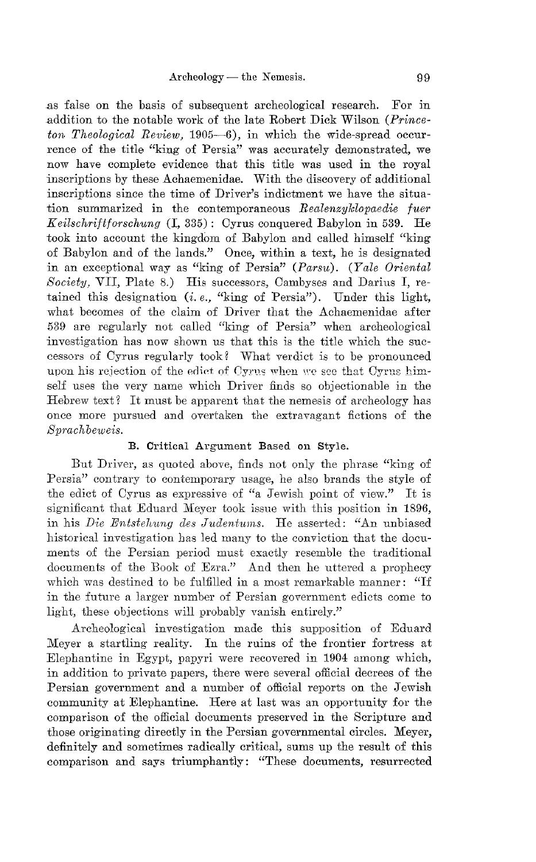as false on the basis of subsequent archeological research. For in addition to the notable work of the late Robert Dick Wilson *(Princeton Theological Review,* 1905-6), in which the wide-spread occurrence of the title "king of Persia" was accurately demonstrated, we now have complete evidence that this title was used in the royal inscriptions by these Achaemenidae. With the discovery of additional inscriptions since the time of Driver's indictment we have the situation summarized in the contemporaneous *Realenzyklopaedie fuer*  $Keilschrift forschung (I, 335):$  Cyrus conquered Babylon in 539. He took into account the kingdom of Babylon and called himself "king of Babylon and of the lands." Once, within a text, he is designated in an exceptional way as "king of Persia" *(Parsu). (Yale Oriental Society,* VII, Plate 8.) His successors, Oambyses and Darius I, retained this designation (*i.e.*, "king of Persia"). Under this light, what becomes of the claim of Driver that the Achaemenidae after 539 are regularly not called "king of Persia" when archeological investigation has now shown us that this is the title which the successors of Cyrus regularly took? What verdict is to be pronounced upon his rejection of the edict of Cyrus when we see that Cyrus himself uses the very name which Driver finds so objectionable in the Hebrew text? It must be apparent that the nemesis of archeology has once more pursued and overtaken the extravagant fictions of the *Spmchbeweis.* 

#### B. Critical Argument Based on Style.

But Driver, as quoted above, finds not only the phrase "king of Persia" contrary to contemporary usage, he also brands the style of the edict of Oyrus as expressive of "a Jewish point of view." It is significant that Eduard Meyer took issue with this position in 1896, in his *Die Entstehung des Judentums*. He asserted: "An unbiased historical investigation has led many to the conviction that the documents of the Persian period must exactly resemble the traditional documents of the Book of Ezra." And then he uttered a prophecy which was destined to be fulfilled in a most remarkable manner: "If in the future a larger number of Persian government edicts come to light, these objections will probably vanish entirely."

Archeological investigation made this supposition of Eduard Meyer a startling reality. In the ruins of the frontier fortress at Elephantine in Egypt, papyri were recovered in 1904 among which, in addition to private papers, there were several official decrees of the Persian government and a number of official reports on the Jewish community at Elephantine. Here at last was an opportunity for the comparison of the official documents preserved in the Scripture and those originating directly in the Persian governmental circles. Meyer, definitely and sometimes radically critical, sums up the result of this comparison and says triumphantly: "These documents, resurrected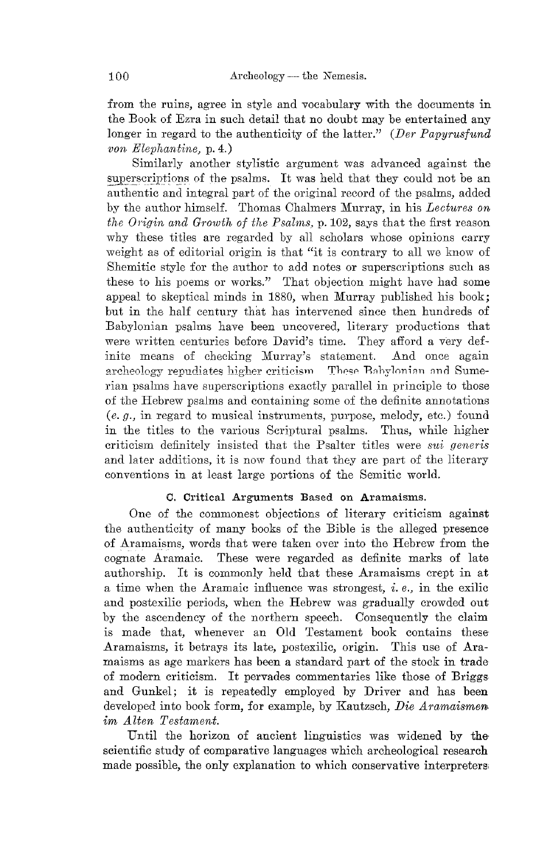from the ruins, agree in style and vocabulary with the documents in the Book of Ezra in such detail that no doubt may be entertained any longer in regard to the authenticity of the latter." (Der Papyrusfund von  $Elephantine$ , p. 4.)

Similarly another stylistic argument was advanced against the superscriptions of the psalms. It was held that they could not be an authentic and integral part of the original record of the psalms, added by the author himself. Thomas Chalmers Murray, in his Lectures on the Origin and Growth of the Psalms, p. 102, says that the first reason why these titles are regarded by all scholars whose opinions carry weight as of editorial origin is that "it is contrary to all we know of Shemitic style for the author to add notes or superscriptions such as these to his poems or works." That objection might have had some appeal to skeptical minds in 1880, when Murray published his book; but in the half century that has intervened since then hundreds of Babylonian psalms have been uncovered, literary productions that were written centuries before David's time. They afford a very definite means of checking Murray's statement. And once again archeology repudiates higher criticism These Babylonian and Sumerian psalms have superscriptions exactly parallel in principle to those of the Hebrew psalms and containing some of the definite annotations  $(e, g, \text{ in regard to musical instruments, purpose, melody, etc.})$  found in the titles to the various Scriptural psalms. Thus, while higher criticism definitely insisted that the Psalter titles were sui generis and later additions, it is now found that they are part of the literary conventions in at least large portions of the Semitic world.

#### C. Critical Arguments Based on Aramaisms.

One of the commonest objections of literary criticism against the authenticity of many books of the Bible is the alleged presence of Aramaisms, words that were taken over into the Hebrew from the cognate Aramaic. These were regarded as definite marks of late authorship. It is commonly held that these Aramaisms crept in at a time when the Aramaic influence was strongest, *i.e.*, in the exilic and postexilic periods, when the Hebrew was gradually crowded out by the ascendency of the northern speech. Consequently the claim is made that, whenever an Old Testament book contains these Aramaisms, it betrays its late, postexilic, origin. This use of Aramaisms as age markers has been a standard part of the stock in trade of modern criticism. It pervades commentaries like those of Briggs and Gunkel; it is repeatedly employed by Driver and has been developed into book form, for example, by Kautzsch, Die Aramaismen im Alten Testament.

Until the horizon of ancient linguistics was widened by the scientific study of comparative languages which archeological research made possible, the only explanation to which conservative interpreters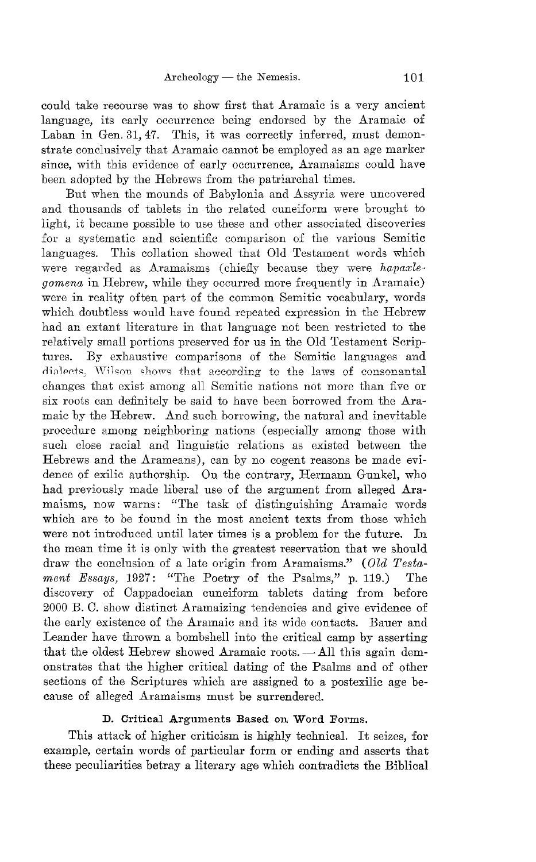could take recourse was to show first that ATamaic is a very ancient language, its early occurrence being endorsed by the Aramaic of Laban in Gen. 31, 47. This, it was correctly inferred, must demonstrate conclusively that Aramaic cannot be employed as an age marker since, with this evidence of early occurrence, Aramaisms could have been adopted by the Hebrews from the patriarchal times.

But when the mounds of Babylonia and Assyria were uncovered and thousands of tablets in the related cuneiform were brought to light, it became possible to use these and other associated discoveries for a systematic and scientific comparison of the various Semitic languages. This collation showed that Old Testament words which were regarded as Aramaisms (chiefly because they were *hapaxlegomena* in Hebrew, while they occurred more frequently in Aramaic) were in reality often part of the common Semitic vocabulary, words which doubtless would have found repeated expression in the Hebrew had an extant literature in that language not been restricted to the relatively small portions preserved for us in the Old Testament Scriptures. By exhaustive comparisons of the Semitic languages and dialects. Wilson shows that according to the laws of consonantal changes that exist among all Semitic nations not more than five or six roots can definitely be said to have been borrowed from the Aramaic by the Hebrew. And such borrowing, the natural and inevitable procedure among neighboring nations (especially among those with such close racial and linguistic relations as existed between the Hebrews and the Arameans), can by no cogent reasons be made evidence of exilic authorship. On the contrary, Hermann Gunkel, who had previously made liberal use of the argument from alleged Aramaisms, now warns: "The task of distinguishing Aramaic words which are to be found in the most ancient texts from those which were not introduced until later times is a problem for the future. In the mean time it is only with the greatest reservation that we should draw the conclusion of a late origin from Aramaisms." *(Old Testament Essays,* 1927: "The Poetry of the Psalms," p. 119.) The discovery of Oappadocian cuneiform tablets dating from before 2000 B. O. show distinct Aramaizing tendencies and give evidence of the early existence of the ATamaic and its wide contacts. Bauer and Leander have thrown a bombshell into the critical camp by asserting that the oldest Hebrew showed Aramaic roots.  $-$  All this again demonstrates that the higher critical dating of the Psalms and of other sections of the Scriptures which are assigned to a postexilic age because of alleged Aramaisms must be surrendered.

#### **D.** Critical Arguments Based on **Word** Forms.

This attack of higher criticism is highly technical. It seizes, for example, certain words of particular form or ending and asserts that these peculiarities betray a literary age which contradicts the Biblical